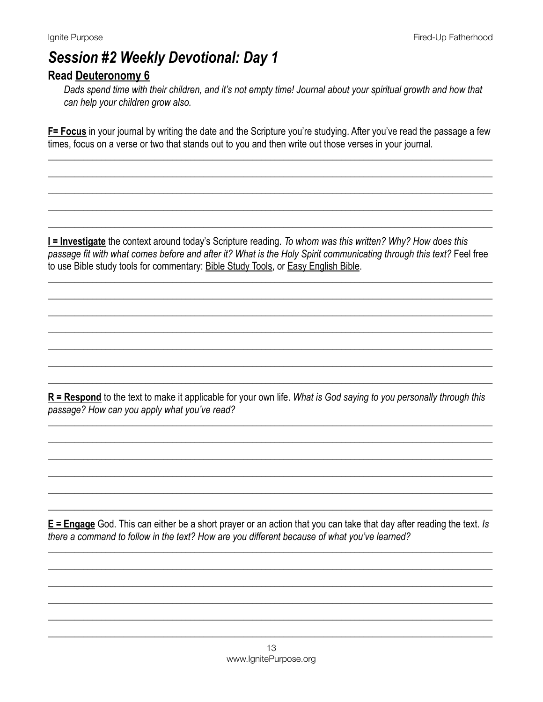# **Session #2 Weekly Devotional: Day 1**

### Read Deuteronomy 6

Dads spend time with their children, and it's not empty time! Journal about your spiritual growth and how that can help your children grow also.

F= Focus in your journal by writing the date and the Scripture you're studying. After you've read the passage a few times, focus on a verse or two that stands out to you and then write out those verses in your journal.

I = Investigate the context around today's Scripture reading. To whom was this written? Why? How does this passage fit with what comes before and after it? What is the Holy Spirit communicating through this text? Feel free to use Bible study tools for commentary: Bible Study Tools, or Easy English Bible.

 $R$  = Respond to the text to make it applicable for your own life. What is God saying to you personally through this passage? How can you apply what you've read?

 $E =$  Engage God. This can either be a short prayer or an action that you can take that day after reading the text. Is there a command to follow in the text? How are you different because of what you've learned?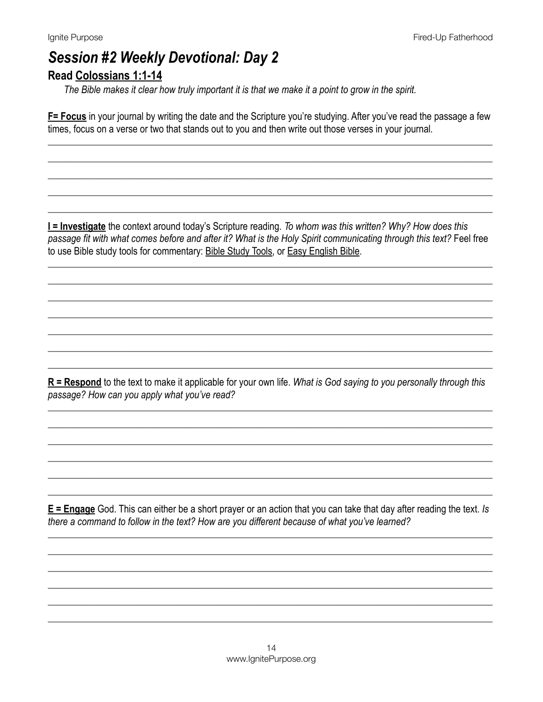### **Session #2 Weekly Devotional: Day 2 Read Colossians 1:1-14**

The Bible makes it clear how truly important it is that we make it a point to grow in the spirit.

F= Focus in your journal by writing the date and the Scripture you're studying. After you've read the passage a few times, focus on a verse or two that stands out to you and then write out those verses in your journal.

I = Investigate the context around today's Scripture reading. To whom was this written? Why? How does this passage fit with what comes before and after it? What is the Holy Spirit communicating through this text? Feel free to use Bible study tools for commentary: Bible Study Tools, or Easy English Bible.

 $R =$ Respond to the text to make it applicable for your own life. What is God saying to you personally through this passage? How can you apply what you've read?

 $E =$  Engage God. This can either be a short prayer or an action that you can take that day after reading the text. Is there a command to follow in the text? How are you different because of what you've learned?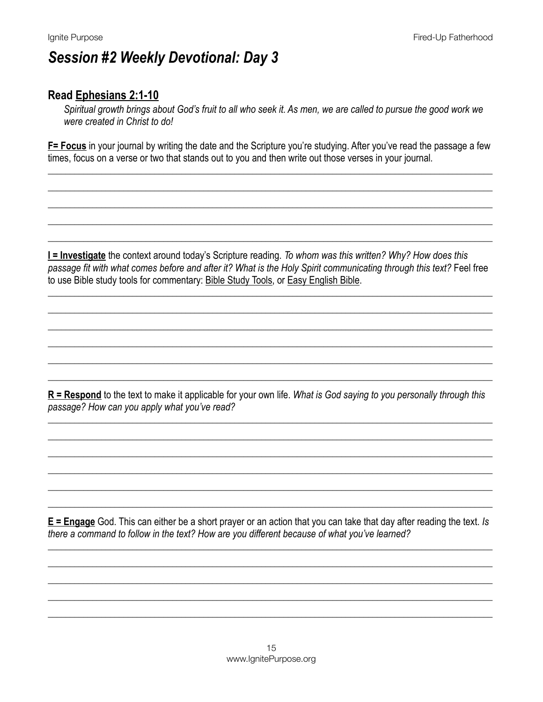## **Session #2 Weekly Devotional: Day 3**

#### Read Ephesians 2:1-10

Spiritual growth brings about God's fruit to all who seek it. As men, we are called to pursue the good work we were created in Christ to do!

F= Focus in your journal by writing the date and the Scripture you're studying. After you've read the passage a few times, focus on a verse or two that stands out to you and then write out those verses in your journal.

I = Investigate the context around today's Scripture reading. To whom was this written? Why? How does this passage fit with what comes before and after it? What is the Holy Spirit communicating through this text? Feel free to use Bible study tools for commentary: Bible Study Tools, or Easy English Bible.

 $R$  = Respond to the text to make it applicable for your own life. What is God saying to you personally through this passage? How can you apply what you've read?

 $E =$  Engage God. This can either be a short prayer or an action that you can take that day after reading the text. Is there a command to follow in the text? How are you different because of what you've learned?